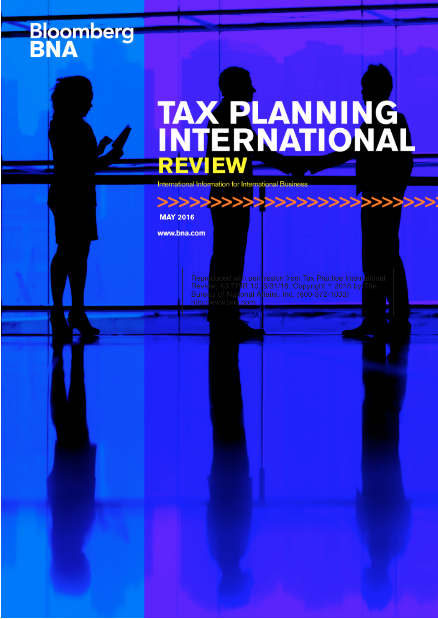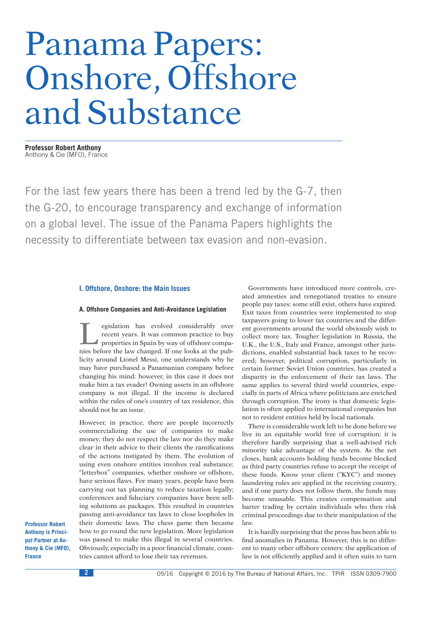# Panama Papers: Onshore, Offshore and Substance

**Professor Robert Anthony** Anthony & Cie (MFO), France

For the last few years there has been a trend led by the G-7, then the G-20, to encourage transparency and exchange of information on a global level. The issue of the Panama Papers highlights the necessity to differentiate between tax evasion and non-evasion.

#### **I. Offshore, Onshore: the Main Issues**

## **A. Offshore Companies and Anti-Avoidance Legislation**

Fegislation has evolved considerably over<br>
properties in Spain by way of offshore compa-<br>
properties in Spain by way of offshore compa-<br>
price before the law changed H and looks at the nubrecent years. It was common practice to buy nies before the law changed. If one looks at the publicity around Lionel Messi, one understands why he may have purchased a Panamanian company before changing his mind: however, in this case it does not make him a tax evader! Owning assets in an offshore company is not illegal. If the income is declared within the rules of one's country of tax residence, this should not be an issue.

However, in practice, there are people incorrectly commercializing the use of companies to make money; they do not respect the law nor do they make clear in their advice to their clients the ramifications of the actions instigated by them. The evolution of using even onshore entities involves real substance: ''letterbox'' companies, whether onshore or offshore, have serious flaws. For many years, people have been carrying out tax planning to reduce taxation legally; conferences and fiduciary companies have been selling solutions as packages. This resulted in countries passing anti-avoidance tax laws to close loopholes in their domestic laws. The chess game then became how to go round the new legislation. More legislation was passed to make this illegal in several countries. Obviously, especially in a poor financial climate, countries cannot afford to lose their tax revenues.

Governments have introduced more controls, created amnesties and renegotiated treaties to ensure people pay taxes: some still exist, others have expired. Exit taxes from countries were implemented to stop taxpayers going to lower tax countries and the different governments around the world obviously wish to collect more tax. Tougher legislation in Russia, the U.K., the U.S., Italy and France, amongst other jurisdictions, enabled substantial back taxes to be recovered; however, political corruption, particularly in certain former Soviet Union countries, has created a disparity in the enforcement of their tax laws. The same applies to several third world countries, especially in parts of Africa where politicians are enriched through corruption. The irony is that domestic legislation is often applied to international companies but not to resident entities held by local nationals.

There is considerable work left to be done before we live in an equitable world free of corruption: it is therefore hardly surprising that a well-advised rich minority take advantage of the system. As the net closes, bank accounts holding funds become blocked as third party countries refuse to accept the receipt of these funds. Know your client (''KYC'') and money laundering rules are applied in the receiving country, and if one party does not follow them, the funds may become unusable. This creates compensation and barter trading by certain individuals who then risk criminal proceedings due to their manipulation of the law.

It is hardly surprising that the press has been able to find anomalies in Panama. However, this is no different to many other offshore centers: the application of law is not efficiently applied and it often suits to turn

**Professor Robert Anthony is Principal Partner at Anthony & Cie (MFO), France**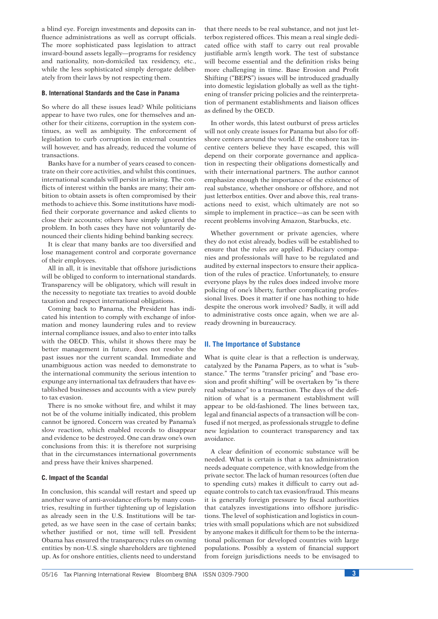a blind eye. Foreign investments and deposits can influence administrations as well as corrupt officials. The more sophisticated pass legislation to attract inward-bound assets legally—programs for residency and nationality, non-domiciled tax residency, etc., while the less sophisticated simply derogate deliberately from their laws by not respecting them.

# **B. International Standards and the Case in Panama**

So where do all these issues lead? While politicians appear to have two rules, one for themselves and another for their citizens, corruption in the system continues, as well as ambiguity. The enforcement of legislation to curb corruption in external countries will however, and has already, reduced the volume of transactions.

Banks have for a number of years ceased to concentrate on their core activities, and whilst this continues, international scandals will persist in arising. The conflicts of interest within the banks are many; their ambition to obtain assets is often compromised by their methods to achieve this. Some institutions have modified their corporate governance and asked clients to close their accounts; others have simply ignored the problem. In both cases they have not voluntarily denounced their clients hiding behind banking secrecy.

It is clear that many banks are too diversified and lose management control and corporate governance of their employees.

All in all, it is inevitable that offshore jurisdictions will be obliged to conform to international standards. Transparency will be obligatory, which will result in the necessity to negotiate tax treaties to avoid double taxation and respect international obligations.

Coming back to Panama, the President has indicated his intention to comply with exchange of information and money laundering rules and to review internal compliance issues, and also to enter into talks with the OECD. This, whilst it shows there may be better management in future, does not resolve the past issues nor the current scandal. Immediate and unambiguous action was needed to demonstrate to the international community the serious intention to expunge any international tax defrauders that have established businesses and accounts with a view purely to tax evasion.

There is no smoke without fire, and whilst it may not be of the volume initially indicated, this problem cannot be ignored. Concern was created by Panama's slow reaction, which enabled records to disappear and evidence to be destroyed. One can draw one's own conclusions from this: it is therefore not surprising that in the circumstances international governments and press have their knives sharpened.

## **C. Impact of the Scandal**

In conclusion, this scandal will restart and speed up another wave of anti-avoidance efforts by many countries, resulting in further tightening up of legislation as already seen in the U.S. Institutions will be targeted, as we have seen in the case of certain banks; whether justified or not, time will tell. President Obama has ensured the transparency rules on owning entities by non-U.S. single shareholders are tightened up. As for onshore entities, clients need to understand that there needs to be real substance, and not just letterbox registered offices. This mean a real single dedicated office with staff to carry out real provable justifiable arm's length work. The test of substance will become essential and the definition risks being more challenging in time. Base Erosion and Profit Shifting (''BEPS'') issues will be introduced gradually into domestic legislation globally as well as the tightening of transfer pricing policies and the reinterpretation of permanent establishments and liaison offices as defined by the OECD.

In other words, this latest outburst of press articles will not only create issues for Panama but also for offshore centers around the world. If the onshore tax incentive centers believe they have escaped, this will depend on their corporate governance and application in respecting their obligations domestically and with their international partners. The author cannot emphasize enough the importance of the existence of real substance, whether onshore or offshore, and not just letterbox entities. Over and above this, real transactions need to exist, which ultimately are not so simple to implement in practice—as can be seen with recent problems involving Amazon, Starbucks, etc.

Whether government or private agencies, where they do not exist already, bodies will be established to ensure that the rules are applied. Fiduciary companies and professionals will have to be regulated and audited by external inspectors to ensure their application of the rules of practice. Unfortunately, to ensure everyone plays by the rules does indeed involve more policing of one's liberty, further complicating professional lives. Does it matter if one has nothing to hide despite the onerous work involved? Sadly, it will add to administrative costs once again, when we are already drowning in bureaucracy.

#### **II. The Importance of Substance**

What is quite clear is that a reflection is underway. catalyzed by the Panama Papers, as to what is "substance." The terms "transfer pricing" and "base erosion and profit shifting'' will be overtaken by ''is there real substance'' to a transaction. The days of the definition of what is a permanent establishment will appear to be old-fashioned. The lines between tax, legal and financial aspects of a transaction will be confused if not merged, as professionals struggle to define new legislation to counteract transparency and tax avoidance.

A clear definition of economic substance will be needed. What is certain is that a tax administration needs adequate competence, with knowledge from the private sector. The lack of human resources (often due to spending cuts) makes it difficult to carry out adequate controls to catch tax evasion/fraud. This means it is generally foreign pressure by fiscal authorities that catalyzes investigations into offshore jurisdictions. The level of sophistication and logistics in countries with small populations which are not subsidized by anyone makes it difficult for them to be the international policeman for developed countries with large populations. Possibly a system of financial support from foreign jurisdictions needs to be envisaged to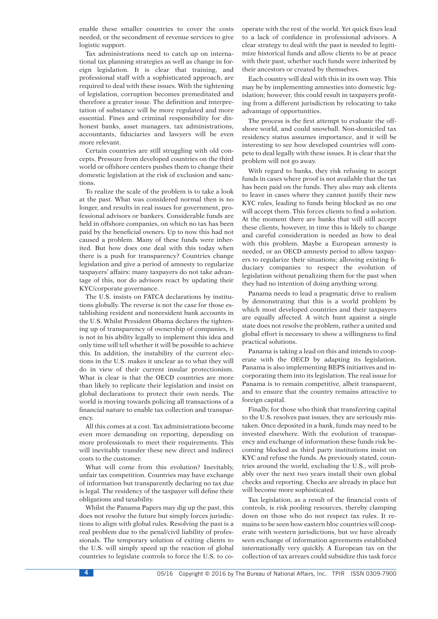enable these smaller countries to cover the costs needed, or the secondment of revenue services to give logistic support.

Tax administrations need to catch up on international tax planning strategies as well as change in foreign legislation. It is clear that training, and professional staff with a sophisticated approach, are required to deal with these issues. With the tightening of legislation, corruption becomes premeditated and therefore a greater issue. The definition and interpretation of substance will be more regulated and more essential. Fines and criminal responsibility for dishonest banks, asset managers, tax administrations, accountants, fiduciaries and lawyers will be even more relevant.

Certain countries are still struggling with old concepts. Pressure from developed countries on the third world or offshore centers pushes them to change their domestic legislation at the risk of exclusion and sanctions.

To realize the scale of the problem is to take a look at the past. What was considered normal then is no longer, and results in real issues for government, professional advisors or bankers. Considerable funds are held in offshore companies, on which no tax has been paid by the beneficial owners. Up to now this had not caused a problem. Many of these funds were inherited. But how does one deal with this today when there is a push for transparency? Countries change legislation and give a period of amnesty to regularize taxpayers' affairs: many taxpayers do not take advantage of this, nor do advisors react by updating their KYC/corporate governance.

The U.S. insists on FATCA declarations by institutions globally. The reverse is not the case for those establishing resident and nonresident bank accounts in the U.S. Whilst President Obama declares the tightening up of transparency of ownership of companies, it is not in his ability legally to implement this idea and only time will tell whether it will be possible to achieve this. In addition, the instability of the current elections in the U.S. makes it unclear as to what they will do in view of their current insular protectionism. What is clear is that the OECD countries are more than likely to replicate their legislation and insist on global declarations to protect their own needs. The world is moving towards policing all transactions of a financial nature to enable tax collection and transparency.

All this comes at a cost. Tax administrations become even more demanding on reporting, depending on more professionals to meet their requirements. This will inevitably transfer these new direct and indirect costs to the customer.

What will come from this evolution? Inevitably, unfair tax competition. Countries may have exchange of information but transparently declaring no tax due is legal. The residency of the taxpayer will define their obligations and taxability.

Whilst the Panama Papers may dig up the past, this does not resolve the future but simply forces jurisdictions to align with global rules. Resolving the past is a real problem due to the penal/civil liability of professionals. The temporary solution of exiting clients to the U.S. will simply speed up the reaction of global countries to legislate controls to force the U.S. to co-

operate with the rest of the world. Yet quick fixes lead to a lack of confidence in professional advisors. A clear strategy to deal with the past is needed to legitimize historical funds and allow clients to be at peace with their past, whether such funds were inherited by their ancestors or created by themselves.

Each country will deal with this in its own way. This may be by implementing amnesties into domestic legislation; however, this could result in taxpayers profiting from a different jurisdiction by relocating to take advantage of opportunities.

The process is the first attempt to evaluate the offshore world, and could snowball. Non-domiciled tax residency status assumes importance, and it will be interesting to see how developed countries will compete to deal legally with these issues. It is clear that the problem will not go away.

With regard to banks, they risk refusing to accept funds in cases where proof is not available that the tax has been paid on the funds. They also may ask clients to leave in cases where they cannot justify their new KYC rules, leading to funds being blocked as no one will accept them. This forces clients to find a solution. At the moment there are banks that will still accept these clients, however, in time this is likely to change and careful consideration is needed as how to deal with this problem. Maybe a European amnesty is needed, or an OECD amnesty period to allow taxpayers to regularize their situations; allowing existing fiduciary companies to respect the evolution of legislation without penalizing them for the past when they had no intention of doing anything wrong.

Panama needs to lead a pragmatic drive to realism by demonstrating that this is a world problem by which most developed countries and their taxpayers are equally affected. A witch hunt against a single state does not resolve the problem, rather a united and global effort is necessary to show a willingness to find practical solutions.

Panama is taking a lead on this and intends to cooperate with the OECD by adapting its legislation. Panama is also implementing BEPS initiatives and incorporating them into its legislation. The real issue for Panama is to remain competitive, albeit transparent, and to ensure that the country remains attractive to foreign capital.

Finally, for those who think that transferring capital to the U.S. resolves past issues, they are seriously mistaken. Once deposited in a bank, funds may need to be invested elsewhere. With the evolution of transparency and exchange of information these funds risk becoming blocked as third party institutions insist on KYC and refuse the funds. As previously stated, countries around the world, excluding the U.S., will probably over the next two years install their own global checks and reporting. Checks are already in place but will become more sophisticated.

Tax legislation, as a result of the financial costs of controls, is risk pooling resources, thereby clamping down on those who do not respect tax rules. It remains to be seen how eastern bloc countries will cooperate with western jurisdictions, but we have already seen exchange of information agreements established internationally very quickly. A European tax on the collection of tax arrears could subsidize this task force